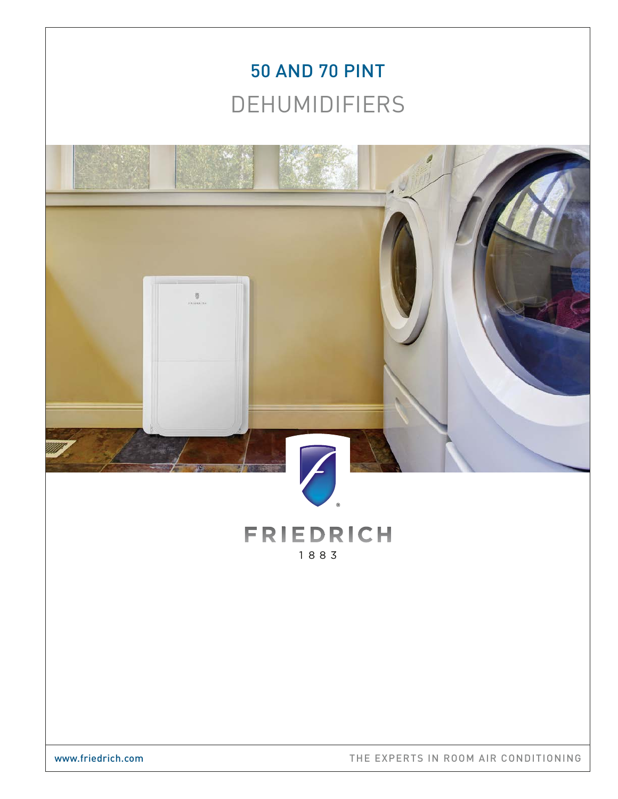# 50 AND 70 PINT DEHUMIDIFIERS